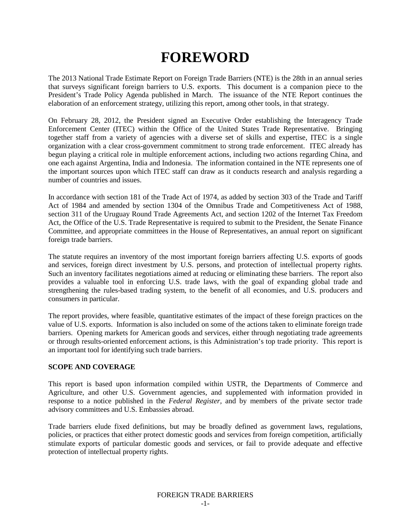# **FOREWORD**

The 2013 National Trade Estimate Report on Foreign Trade Barriers (NTE) is the 28th in an annual series that surveys significant foreign barriers to U.S. exports. This document is a companion piece to the President's Trade Policy Agenda published in March. The issuance of the NTE Report continues the elaboration of an enforcement strategy, utilizing this report, among other tools, in that strategy.

On February 28, 2012, the President signed an Executive Order establishing the Interagency Trade Enforcement Center (ITEC) within the Office of the United States Trade Representative. Bringing together staff from a variety of agencies with a diverse set of skills and expertise, ITEC is a single organization with a clear cross-government commitment to strong trade enforcement. ITEC already has begun playing a critical role in multiple enforcement actions, including two actions regarding China, and one each against Argentina, India and Indonesia. The information contained in the NTE represents one of the important sources upon which ITEC staff can draw as it conducts research and analysis regarding a number of countries and issues.

In accordance with section 181 of the Trade Act of 1974, as added by section 303 of the Trade and Tariff Act of 1984 and amended by section 1304 of the Omnibus Trade and Competitiveness Act of 1988, section 311 of the Uruguay Round Trade Agreements Act, and section 1202 of the Internet Tax Freedom Act, the Office of the U.S. Trade Representative is required to submit to the President, the Senate Finance Committee, and appropriate committees in the House of Representatives, an annual report on significant foreign trade barriers.

The statute requires an inventory of the most important foreign barriers affecting U.S. exports of goods and services, foreign direct investment by U.S. persons, and protection of intellectual property rights. Such an inventory facilitates negotiations aimed at reducing or eliminating these barriers. The report also provides a valuable tool in enforcing U.S. trade laws, with the goal of expanding global trade and strengthening the rules-based trading system, to the benefit of all economies, and U.S. producers and consumers in particular.

The report provides, where feasible, quantitative estimates of the impact of these foreign practices on the value of U.S. exports. Information is also included on some of the actions taken to eliminate foreign trade barriers. Opening markets for American goods and services, either through negotiating trade agreements or through results-oriented enforcement actions, is this Administration's top trade priority. This report is an important tool for identifying such trade barriers.

#### **SCOPE AND COVERAGE**

This report is based upon information compiled within USTR, the Departments of Commerce and Agriculture, and other U.S. Government agencies, and supplemented with information provided in response to a notice published in the *Federal Register,* and by members of the private sector trade advisory committees and U.S. Embassies abroad.

Trade barriers elude fixed definitions, but may be broadly defined as government laws, regulations, policies, or practices that either protect domestic goods and services from foreign competition, artificially stimulate exports of particular domestic goods and services, or fail to provide adequate and effective protection of intellectual property rights.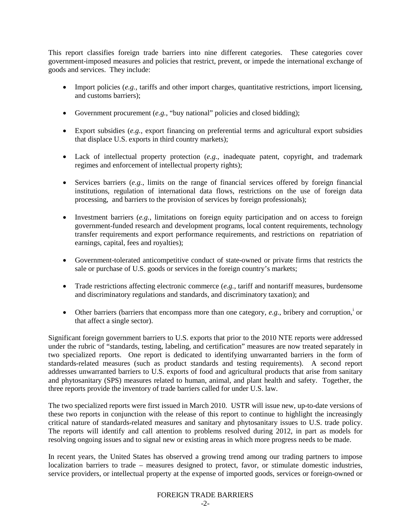This report classifies foreign trade barriers into nine different categories. These categories cover government-imposed measures and policies that restrict, prevent, or impede the international exchange of goods and services. They include:

- Import policies (*e.g.*, tariffs and other import charges, quantitative restrictions, import licensing, and customs barriers);
- Government procurement (*e.g.*, "buy national" policies and closed bidding);
- Export subsidies (*e.g.*, export financing on preferential terms and agricultural export subsidies that displace U.S. exports in third country markets);
- Lack of intellectual property protection (*e.g.*, inadequate patent, copyright, and trademark regimes and enforcement of intellectual property rights);
- Services barriers (*e.g.*, limits on the range of financial services offered by foreign financial institutions, regulation of international data flows, restrictions on the use of foreign data processing, and barriers to the provision of services by foreign professionals);
- Investment barriers (*e.g.*, limitations on foreign equity participation and on access to foreign government-funded research and development programs, local content requirements, technology transfer requirements and export performance requirements, and restrictions on repatriation of earnings, capital, fees and royalties);
- Government-tolerated anticompetitive conduct of state-owned or private firms that restricts the sale or purchase of U.S. goods or services in the foreign country's markets;
- Trade restrictions affecting electronic commerce (*e.g.*, tariff and nontariff measures, burdensome and discriminatory regulations and standards, and discriminatory taxation); and
- Other barr[i](#page-4-0)ers (barriers that encompass more than one category,  $e.g.,$  bribery and corruption,<sup>i</sup> or that affect a single sector).

Significant foreign government barriers to U.S. exports that prior to the 2010 NTE reports were addressed under the rubric of "standards, testing, labeling, and certification" measures are now treated separately in two specialized reports. One report is dedicated to identifying unwarranted barriers in the form of standards-related measures (such as product standards and testing requirements). A second report addresses unwarranted barriers to U.S. exports of food and agricultural products that arise from sanitary and phytosanitary (SPS) measures related to human, animal, and plant health and safety. Together, the three reports provide the inventory of trade barriers called for under U.S. law.

The two specialized reports were first issued in March 2010. USTR will issue new, up-to-date versions of these two reports in conjunction with the release of this report to continue to highlight the increasingly critical nature of standards-related measures and sanitary and phytosanitary issues to U.S. trade policy. The reports will identify and call attention to problems resolved during 2012, in part as models for resolving ongoing issues and to signal new or existing areas in which more progress needs to be made.

In recent years, the United States has observed a growing trend among our trading partners to impose localization barriers to trade – measures designed to protect, favor, or stimulate domestic industries, service providers, or intellectual property at the expense of imported goods, services or foreign-owned or

## FOREIGN TRADE BARRIERS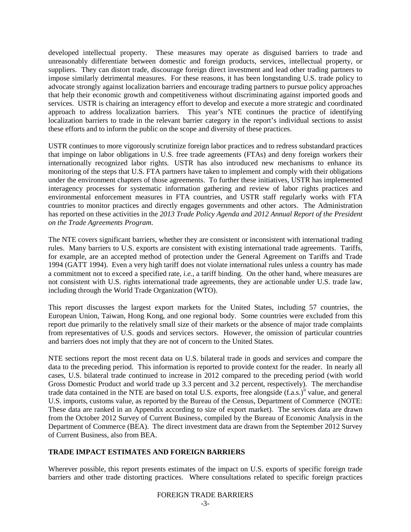developed intellectual property. These measures may operate as disguised barriers to trade and unreasonably differentiate between domestic and foreign products, services, intellectual property, or suppliers. They can distort trade, discourage foreign direct investment and lead other trading partners to impose similarly detrimental measures. For these reasons, it has been longstanding U.S. trade policy to advocate strongly against localization barriers and encourage trading partners to pursue policy approaches that help their economic growth and competitiveness without discriminating against imported goods and services. USTR is chairing an interagency effort to develop and execute a more strategic and coordinated approach to address localization barriers. This year's NTE continues the practice of identifying localization barriers to trade in the relevant barrier category in the report's individual sections to assist these efforts and to inform the public on the scope and diversity of these practices.

USTR continues to more vigorously scrutinize foreign labor practices and to redress substandard practices that impinge on labor obligations in U.S. free trade agreements (FTAs) and deny foreign workers their internationally recognized labor rights. USTR has also introduced new mechanisms to enhance its monitoring of the steps that U.S. FTA partners have taken to implement and comply with their obligations under the environment chapters of those agreements. To further these initiatives, USTR has implemented interagency processes for systematic information gathering and review of labor rights practices and environmental enforcement measures in FTA countries, and USTR staff regularly works with FTA countries to monitor practices and directly engages governments and other actors. The Administration has reported on these activities in the *2013 Trade Policy Agenda and 2012 Annual Report of the President on the Trade Agreements Program*.

The NTE covers significant barriers, whether they are consistent or inconsistent with international trading rules. Many barriers to U.S. exports are consistent with existing international trade agreements. Tariffs, for example, are an accepted method of protection under the General Agreement on Tariffs and Trade 1994 (GATT 1994). Even a very high tariff does not violate international rules unless a country has made a commitment not to exceed a specified rate, *i.e.,* a tariff binding. On the other hand, where measures are not consistent with U.S. rights international trade agreements, they are actionable under U.S. trade law, including through the World Trade Organization (WTO).

This report discusses the largest export markets for the United States, including 57 countries, the European Union, Taiwan, Hong Kong, and one regional body. Some countries were excluded from this report due primarily to the relatively small size of their markets or the absence of major trade complaints from representatives of U.S. goods and services sectors. However, the omission of particular countries and barriers does not imply that they are not of concern to the United States.

NTE sections report the most recent data on U.S. bilateral trade in goods and services and compare the data to the preceding period. This information is reported to provide context for the reader. In nearly all cases, U.S. bilateral trade continued to increase in 2012 compared to the preceding period (with world Gross Domestic Product and world trade up 3.3 percent and 3.2 percent, respectively). The merchandise trade data contained in the NTE are based on total U.S. exports, free alongside (f.a.s.)<sup>[ii](#page-4-1)</sup> value, and general U.S. imports, customs value, as reported by the Bureau of the Census, Department of Commerce (NOTE: These data are ranked in an Appendix according to size of export market). The services data are drawn from the October 2012 Survey of Current Business, compiled by the Bureau of Economic Analysis in the Department of Commerce (BEA). The direct investment data are drawn from the September 2012 Survey of Current Business, also from BEA.

## **TRADE IMPACT ESTIMATES AND FOREIGN BARRIERS**

Wherever possible, this report presents estimates of the impact on U.S. exports of specific foreign trade barriers and other trade distorting practices. Where consultations related to specific foreign practices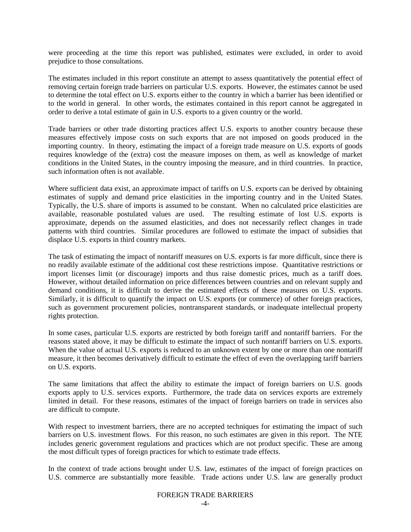were proceeding at the time this report was published, estimates were excluded, in order to avoid prejudice to those consultations.

The estimates included in this report constitute an attempt to assess quantitatively the potential effect of removing certain foreign trade barriers on particular U.S. exports. However, the estimates cannot be used to determine the total effect on U.S. exports either to the country in which a barrier has been identified or to the world in general. In other words, the estimates contained in this report cannot be aggregated in order to derive a total estimate of gain in U.S. exports to a given country or the world.

Trade barriers or other trade distorting practices affect U.S. exports to another country because these measures effectively impose costs on such exports that are not imposed on goods produced in the importing country. In theory, estimating the impact of a foreign trade measure on U.S. exports of goods requires knowledge of the (extra) cost the measure imposes on them, as well as knowledge of market conditions in the United States, in the country imposing the measure, and in third countries. In practice, such information often is not available.

Where sufficient data exist, an approximate impact of tariffs on U.S. exports can be derived by obtaining estimates of supply and demand price elasticities in the importing country and in the United States. Typically, the U.S. share of imports is assumed to be constant. When no calculated price elasticities are available, reasonable postulated values are used. The resulting estimate of lost U.S. exports is approximate, depends on the assumed elasticities, and does not necessarily reflect changes in trade patterns with third countries. Similar procedures are followed to estimate the impact of subsidies that displace U.S. exports in third country markets.

The task of estimating the impact of nontariff measures on U.S. exports is far more difficult, since there is no readily available estimate of the additional cost these restrictions impose. Quantitative restrictions or import licenses limit (or discourage) imports and thus raise domestic prices, much as a tariff does. However, without detailed information on price differences between countries and on relevant supply and demand conditions, it is difficult to derive the estimated effects of these measures on U.S. exports. Similarly, it is difficult to quantify the impact on U.S. exports (or commerce) of other foreign practices, such as government procurement policies, nontransparent standards, or inadequate intellectual property rights protection.

In some cases, particular U.S. exports are restricted by both foreign tariff and nontariff barriers. For the reasons stated above, it may be difficult to estimate the impact of such nontariff barriers on U.S. exports. When the value of actual U.S. exports is reduced to an unknown extent by one or more than one nontariff measure, it then becomes derivatively difficult to estimate the effect of even the overlapping tariff barriers on U.S. exports.

The same limitations that affect the ability to estimate the impact of foreign barriers on U.S. goods exports apply to U.S. services exports. Furthermore, the trade data on services exports are extremely limited in detail. For these reasons, estimates of the impact of foreign barriers on trade in services also are difficult to compute.

With respect to investment barriers, there are no accepted techniques for estimating the impact of such barriers on U.S. investment flows. For this reason, no such estimates are given in this report. The NTE includes generic government regulations and practices which are not product specific. These are among the most difficult types of foreign practices for which to estimate trade effects.

In the context of trade actions brought under U.S. law, estimates of the impact of foreign practices on U.S. commerce are substantially more feasible. Trade actions under U.S. law are generally product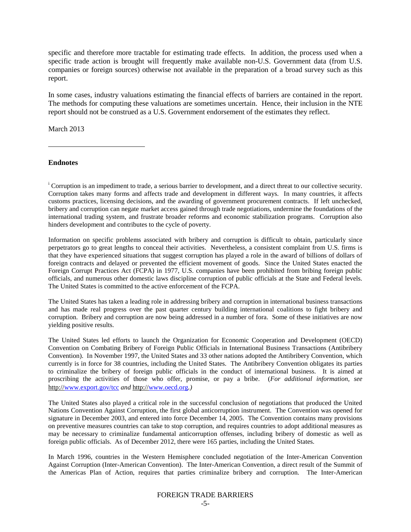specific and therefore more tractable for estimating trade effects. In addition, the process used when a specific trade action is brought will frequently make available non-U.S. Government data (from U.S. companies or foreign sources) otherwise not available in the preparation of a broad survey such as this report.

In some cases, industry valuations estimating the financial effects of barriers are contained in the report. The methods for computing these valuations are sometimes uncertain. Hence, their inclusion in the NTE report should not be construed as a U.S. Government endorsement of the estimates they reflect.

March 2013

<span id="page-4-0"></span>**Endnotes**

 $\overline{a}$ 

<span id="page-4-1"></span><sup>i</sup> Corruption is an impediment to trade, a serious barrier to development, and a direct threat to our collective security. Corruption takes many forms and affects trade and development in different ways. In many countries, it affects customs practices, licensing decisions, and the awarding of government procurement contracts. If left unchecked, bribery and corruption can negate market access gained through trade negotiations, undermine the foundations of the international trading system, and frustrate broader reforms and economic stabilization programs. Corruption also hinders development and contributes to the cycle of poverty.

Information on specific problems associated with bribery and corruption is difficult to obtain, particularly since perpetrators go to great lengths to conceal their activities. Nevertheless, a consistent complaint from U.S. firms is that they have experienced situations that suggest corruption has played a role in the award of billions of dollars of foreign contracts and delayed or prevented the efficient movement of goods. Since the United States enacted the Foreign Corrupt Practices Act (FCPA) in 1977, U.S. companies have been prohibited from bribing foreign public officials, and numerous other domestic laws discipline corruption of public officials at the State and Federal levels. The United States is committed to the active enforcement of the FCPA.

The United States has taken a leading role in addressing bribery and corruption in international business transactions and has made real progress over the past quarter century building international coalitions to fight bribery and corruption. Bribery and corruption are now being addressed in a number of fora. Some of these initiatives are now yielding positive results.

The United States led efforts to launch the Organization for Economic Cooperation and Development (OECD) Convention on Combating Bribery of Foreign Public Officials in International Business Transactions (Antibribery Convention). In November 1997, the United States and 33 other nations adopted the Antibribery Convention, which currently is in force for 38 countries, including the United States. The Antibribery Convention obligates its parties to criminalize the bribery of foreign public officials in the conduct of international business. It is aimed at proscribing the activities of those who offer, promise, or pay a bribe. (*For additional information, see* http:/[/www.export.gov/tcc](http://www.export.gov/tcc) *and* http:/[/www.oecd.org](http://www.oecd.org/)*.)*

The United States also played a critical role in the successful conclusion of negotiations that produced the United Nations Convention Against Corruption, the first global anticorruption instrument. The Convention was opened for signature in December 2003, and entered into force December 14, 2005. The Convention contains many provisions on preventive measures countries can take to stop corruption, and requires countries to adopt additional measures as may be necessary to criminalize fundamental anticorruption offenses, including bribery of domestic as well as foreign public officials. As of December 2012, there were 165 parties, including the United States.

In March 1996, countries in the Western Hemisphere concluded negotiation of the Inter-American Convention Against Corruption (Inter-American Convention). The Inter-American Convention, a direct result of the Summit of the Americas Plan of Action, requires that parties criminalize bribery and corruption. The Inter-American

#### FOREIGN TRADE BARRIERS